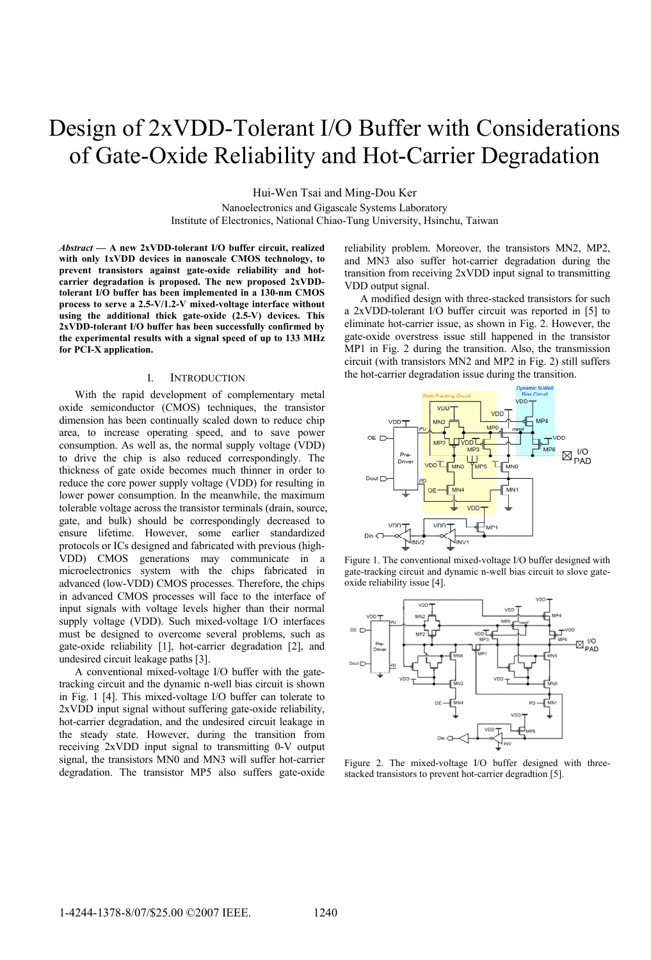# Design of 2xVDD-Tolerant I/O Buffer with Considerations of Gate-Oxide Reliability and Hot-Carrier Degradation

Hui-Wen Tsai and Ming-Dou Ker

Nanoelectronics and Gigascale Systems Laboratory Institute of Electronics, National Chiao-Tung University, Hsinchu, Taiwan

*Abstract* **— A new 2xVDD-tolerant I/O buffer circuit, realized with only 1xVDD devices in nanoscale CMOS technology, to prevent transistors against gate-oxide reliability and hotcarrier degradation is proposed. The new proposed 2xVDDtolerant I/O buffer has been implemented in a 130-nm CMOS process to serve a 2.5-V/1.2-V mixed-voltage interface without using the additional thick gate-oxide (2.5-V) devices. This 2xVDD-tolerant I/O buffer has been successfully confirmed by the experimental results with a signal speed of up to 133 MHz for PCI-X application.** 

#### I. INTRODUCTION

With the rapid development of complementary metal oxide semiconductor (CMOS) techniques, the transistor dimension has been continually scaled down to reduce chip area, to increase operating speed, and to save power consumption. As well as, the normal supply voltage (VDD) to drive the chip is also reduced correspondingly. The thickness of gate oxide becomes much thinner in order to reduce the core power supply voltage (VDD) for resulting in lower power consumption. In the meanwhile, the maximum tolerable voltage across the transistor terminals (drain, source, gate, and bulk) should be correspondingly decreased to ensure lifetime. However, some earlier standardized protocols or ICs designed and fabricated with previous (high-VDD) CMOS generations may communicate in a microelectronics system with the chips fabricated in advanced (low-VDD) CMOS processes. Therefore, the chips in advanced CMOS processes will face to the interface of input signals with voltage levels higher than their normal supply voltage (VDD). Such mixed-voltage I/O interfaces must be designed to overcome several problems, such as gate-oxide reliability [1], hot-carrier degradation [2], and undesired circuit leakage paths [3].

A conventional mixed-voltage I/O buffer with the gatetracking circuit and the dynamic n-well bias circuit is shown in Fig. 1 [4]. This mixed-voltage I/O buffer can tolerate to 2xVDD input signal without suffering gate-oxide reliability, hot-carrier degradation, and the undesired circuit leakage in the steady state. However, during the transition from receiving 2xVDD input signal to transmitting 0-V output signal, the transistors MN0 and MN3 will suffer hot-carrier degradation. The transistor MP5 also suffers gate-oxide reliability problem. Moreover, the transistors MN2, MP2, and MN3 also suffer hot-carrier degradation during the transition from receiving 2xVDD input signal to transmitting VDD output signal.

A modified design with three-stacked transistors for such a 2xVDD-tolerant I/O buffer circuit was reported in [5] to eliminate hot-carrier issue, as shown in Fig. 2. However, the gate-oxide overstress issue still happened in the transistor MP1 in Fig. 2 during the transition. Also, the transmission circuit (with transistors MN2 and MP2 in Fig. 2) still suffers the hot-carrier degradation issue during the transition.







Figure 2. The mixed-voltage I/O buffer designed with threestacked transistors to prevent hot-carrier degradtion [5].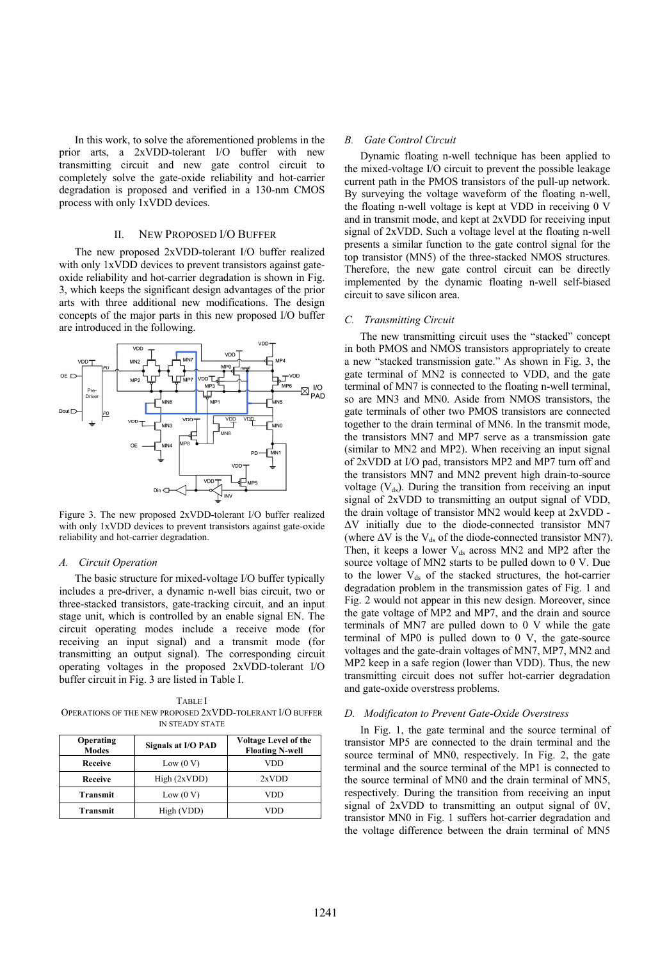In this work, to solve the aforementioned problems in the prior arts, a 2xVDD-tolerant I/O buffer with new transmitting circuit and new gate control circuit to completely solve the gate-oxide reliability and hot-carrier degradation is proposed and verified in a 130-nm CMOS process with only 1xVDD devices.

## II. NEW PROPOSED I/O BUFFER

The new proposed 2xVDD-tolerant I/O buffer realized with only 1xVDD devices to prevent transistors against gateoxide reliability and hot-carrier degradation is shown in Fig. 3, which keeps the significant design advantages of the prior arts with three additional new modifications. The design concepts of the major parts in this new proposed I/O buffer are introduced in the following.



Figure 3. The new proposed 2xVDD-tolerant I/O buffer realized with only 1xVDD devices to prevent transistors against gate-oxide reliability and hot-carrier degradation.

## *A. Circuit Operation*

The basic structure for mixed-voltage I/O buffer typically includes a pre-driver, a dynamic n-well bias circuit, two or three-stacked transistors, gate-tracking circuit, and an input stage unit, which is controlled by an enable signal EN. The circuit operating modes include a receive mode (for receiving an input signal) and a transmit mode (for transmitting an output signal). The corresponding circuit operating voltages in the proposed 2xVDD-tolerant I/O buffer circuit in Fig. 3 are listed in Table I.

TABLE I OPERATIONS OF THE NEW PROPOSED 2XVDD-TOLERANT I/O BUFFER IN STEADY STATE

| <b>Operating</b><br><b>Modes</b> | Signals at I/O PAD | <b>Voltage Level of the</b><br><b>Floating N-well</b> |
|----------------------------------|--------------------|-------------------------------------------------------|
| <b>Receive</b>                   | Low (0 V)          | VDD                                                   |
| <b>Receive</b>                   | High (2xVDD)       | 2xVDD                                                 |
| Transmit                         | Low (0 V)          | VDD                                                   |
| <b>Transmit</b>                  | High (VDD)         | VDD                                                   |

## *B. Gate Control Circuit*

Dynamic floating n-well technique has been applied to the mixed-voltage I/O circuit to prevent the possible leakage current path in the PMOS transistors of the pull-up network. By surveying the voltage waveform of the floating n-well, the floating n-well voltage is kept at VDD in receiving 0 V and in transmit mode, and kept at 2xVDD for receiving input signal of 2xVDD. Such a voltage level at the floating n-well presents a similar function to the gate control signal for the top transistor (MN5) of the three-stacked NMOS structures. Therefore, the new gate control circuit can be directly implemented by the dynamic floating n-well self-biased circuit to save silicon area.

## *C. Transmitting Circuit*

The new transmitting circuit uses the "stacked" concept in both PMOS and NMOS transistors appropriately to create a new "stacked transmission gate." As shown in Fig. 3, the gate terminal of MN2 is connected to VDD, and the gate terminal of MN7 is connected to the floating n-well terminal, so are MN3 and MN0. Aside from NMOS transistors, the gate terminals of other two PMOS transistors are connected together to the drain terminal of MN6. In the transmit mode, the transistors MN7 and MP7 serve as a transmission gate (similar to MN2 and MP2). When receiving an input signal of 2xVDD at I/O pad, transistors MP2 and MP7 turn off and the transistors MN7 and MN2 prevent high drain-to-source voltage  $(V_{ds})$ . During the transition from receiving an input signal of 2xVDD to transmitting an output signal of VDD, the drain voltage of transistor MN2 would keep at 2xVDD - ΔV initially due to the diode-connected transistor MN7 (where  $\Delta V$  is the V<sub>ds</sub> of the diode-connected transistor MN7). Then, it keeps a lower  $V_{ds}$  across MN2 and MP2 after the source voltage of MN2 starts to be pulled down to 0 V. Due to the lower  $V_{ds}$  of the stacked structures, the hot-carrier degradation problem in the transmission gates of Fig. 1 and Fig. 2 would not appear in this new design. Moreover, since the gate voltage of MP2 and MP7, and the drain and source terminals of MN7 are pulled down to 0 V while the gate terminal of MP0 is pulled down to 0 V, the gate-source voltages and the gate-drain voltages of MN7, MP7, MN2 and MP2 keep in a safe region (lower than VDD). Thus, the new transmitting circuit does not suffer hot-carrier degradation and gate-oxide overstress problems.

## *D. Modificaton to Prevent Gate-Oxide Overstress*

In Fig. 1, the gate terminal and the source terminal of transistor MP5 are connected to the drain terminal and the source terminal of MN0, respectively. In Fig. 2, the gate terminal and the source terminal of the MP1 is connected to the source terminal of MN0 and the drain terminal of MN5, respectively. During the transition from receiving an input signal of 2xVDD to transmitting an output signal of 0V, transistor MN0 in Fig. 1 suffers hot-carrier degradation and the voltage difference between the drain terminal of MN5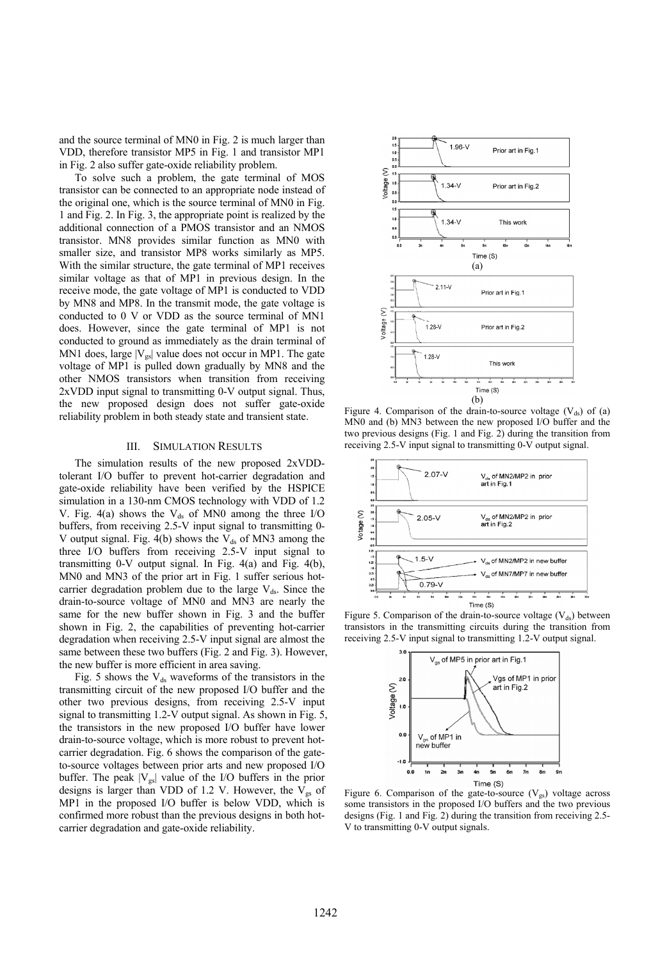and the source terminal of MN0 in Fig. 2 is much larger than VDD, therefore transistor MP5 in Fig. 1 and transistor MP1 in Fig. 2 also suffer gate-oxide reliability problem.

To solve such a problem, the gate terminal of MOS transistor can be connected to an appropriate node instead of the original one, which is the source terminal of MN0 in Fig. 1 and Fig. 2. In Fig. 3, the appropriate point is realized by the additional connection of a PMOS transistor and an NMOS transistor. MN8 provides similar function as MN0 with smaller size, and transistor MP8 works similarly as MP5. With the similar structure, the gate terminal of MP1 receives similar voltage as that of MP1 in previous design. In the receive mode, the gate voltage of MP1 is conducted to VDD by MN8 and MP8. In the transmit mode, the gate voltage is conducted to 0 V or VDD as the source terminal of MN1 does. However, since the gate terminal of MP1 is not conducted to ground as immediately as the drain terminal of MN1 does, large  $|V_{gs}|$  value does not occur in MP1. The gate voltage of MP1 is pulled down gradually by MN8 and the other NMOS transistors when transition from receiving 2xVDD input signal to transmitting 0-V output signal. Thus, the new proposed design does not suffer gate-oxide reliability problem in both steady state and transient state.

## III. SIMULATION RESULTS

The simulation results of the new proposed 2xVDDtolerant I/O buffer to prevent hot-carrier degradation and gate-oxide reliability have been verified by the HSPICE simulation in a 130-nm CMOS technology with VDD of 1.2 V. Fig. 4(a) shows the  $V_{ds}$  of MN0 among the three I/O buffers, from receiving 2.5-V input signal to transmitting 0- V output signal. Fig. 4(b) shows the  $V_{ds}$  of MN3 among the three I/O buffers from receiving 2.5-V input signal to transmitting 0-V output signal. In Fig. 4(a) and Fig. 4(b), MN0 and MN3 of the prior art in Fig. 1 suffer serious hotcarrier degradation problem due to the large  $V_{ds}$ . Since the drain-to-source voltage of MN0 and MN3 are nearly the same for the new buffer shown in Fig. 3 and the buffer shown in Fig. 2, the capabilities of preventing hot-carrier degradation when receiving 2.5-V input signal are almost the same between these two buffers (Fig. 2 and Fig. 3). However, the new buffer is more efficient in area saving.

Fig. 5 shows the  $V_{ds}$  waveforms of the transistors in the transmitting circuit of the new proposed I/O buffer and the other two previous designs, from receiving 2.5-V input signal to transmitting 1.2-V output signal. As shown in Fig. 5, the transistors in the new proposed I/O buffer have lower drain-to-source voltage, which is more robust to prevent hotcarrier degradation. Fig. 6 shows the comparison of the gateto-source voltages between prior arts and new proposed I/O buffer. The peak  $|V_{gs}|$  value of the I/O buffers in the prior designs is larger than VDD of 1.2 V. However, the  $V_{gs}$  of MP1 in the proposed I/O buffer is below VDD, which is confirmed more robust than the previous designs in both hotcarrier degradation and gate-oxide reliability.



Figure 4. Comparison of the drain-to-source voltage  $(V_{ds})$  of (a) MN0 and (b) MN3 between the new proposed I/O buffer and the two previous designs (Fig. 1 and Fig. 2) during the transition from receiving 2.5-V input signal to transmitting 0-V output signal.



Figure 5. Comparison of the drain-to-source voltage  $(V_{ds})$  between transistors in the transmitting circuits during the transition from receiving 2.5-V input signal to transmitting 1.2-V output signal.



Figure 6. Comparison of the gate-to-source  $(V_{gs})$  voltage across some transistors in the proposed I/O buffers and the two previous designs (Fig. 1 and Fig. 2) during the transition from receiving 2.5- V to transmitting 0-V output signals.